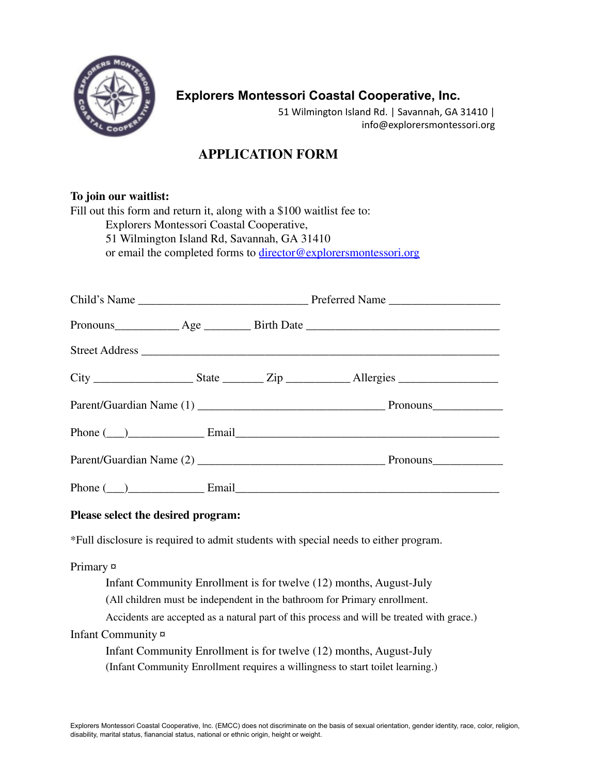

## **Explorers Montessori Coastal Cooperative, Inc.**

51 Wilmington Island Rd. | Savannah, GA 31410 | info@explorersmontessori.org

## **APPLICATION FORM**

# **To join our waitlist:**

| Fill out this form and return it, along with a \$100 waitlist fee to: |
|-----------------------------------------------------------------------|
| Explorers Montessori Coastal Cooperative,                             |
| 51 Wilmington Island Rd, Savannah, GA 31410                           |
| or email the completed forms to director@explorersmontessori.org      |
|                                                                       |

|  | Phone $(\_\)$ Email Email Email Email Email Email Email Email Email Email Email Email Email Email Email Email Email Email Email Email Email Email Email Email Email Email Email Email Email Email Email Email Email Email Email |
|--|---------------------------------------------------------------------------------------------------------------------------------------------------------------------------------------------------------------------------------|
|  |                                                                                                                                                                                                                                 |
|  | Phone $(\_)$ Email Email Email Email Email Email Email Email Email Email Email Email Email Email Email Email Email Email Email Email Email Email Email Email Email Email Email Email Email Email Email Email Email Email Email  |

#### **Please select the desired program:**

\*Full disclosure is required to admit students with special needs to either program.

# Primary ¤ Infant Community Enrollment is for twelve (12) months, August-July (All children must be independent in the bathroom for Primary enrollment. Accidents are accepted as a natural part of this process and will be treated with grace.) Infant Community ¤ Infant Community Enrollment is for twelve (12) months, August-July (Infant Community Enrollment requires a willingness to start toilet learning.)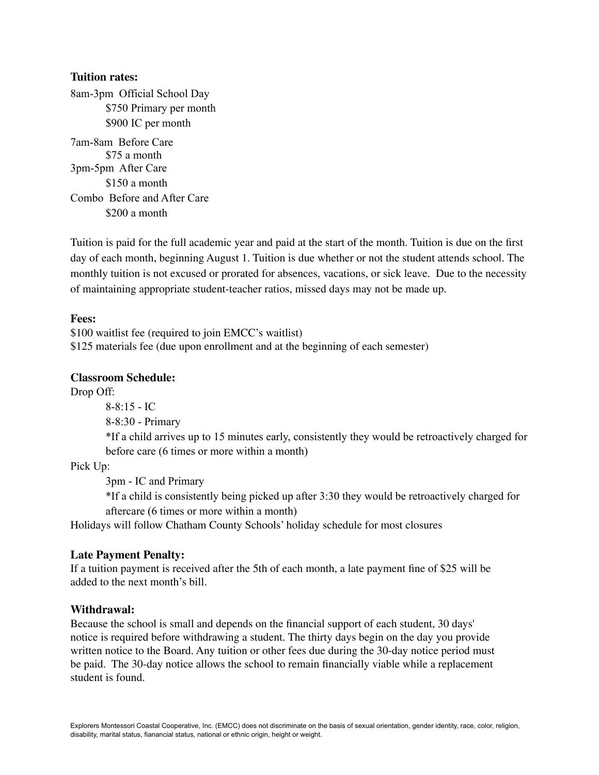#### **Tuition rates:**

8am-3pm Official School Day \$750 Primary per month \$900 IC per month

7am-8am Before Care \$75 a month 3pm-5pm After Care \$150 a month Combo Before and After Care \$200 a month

Tuition is paid for the full academic year and paid at the start of the month. Tuition is due on the first day of each month, beginning August 1. Tuition is due whether or not the student attends school. The monthly tuition is not excused or prorated for absences, vacations, or sick leave. Due to the necessity of maintaining appropriate student-teacher ratios, missed days may not be made up.

#### **Fees:**

\$100 waitlist fee (required to join EMCC's waitlist) \$125 materials fee (due upon enrollment and at the beginning of each semester)

#### **Classroom Schedule:**

Drop Off:

8-8:15 - IC

8-8:30 - Primary

\*If a child arrives up to 15 minutes early, consistently they would be retroactively charged for before care (6 times or more within a month)

Pick Up:

3pm - IC and Primary

\*If a child is consistently being picked up after 3:30 they would be retroactively charged for aftercare (6 times or more within a month)

Holidays will follow Chatham County Schools' holiday schedule for most closures

#### **Late Payment Penalty:**

If a tuition payment is received after the 5th of each month, a late payment fine of \$25 will be added to the next month's bill.

#### **Withdrawal:**

Because the school is small and depends on the financial support of each student, 30 days' notice is required before withdrawing a student. The thirty days begin on the day you provide written notice to the Board. Any tuition or other fees due during the 30-day notice period must be paid. The 30-day notice allows the school to remain financially viable while a replacement student is found.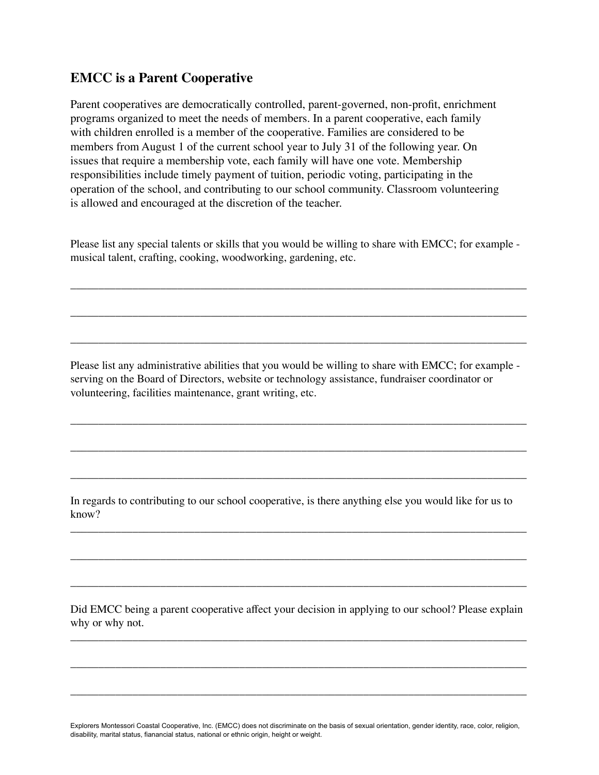### **EMCC is a Parent Cooperative**

Parent cooperatives are democratically controlled, parent-governed, non-profit, enrichment programs organized to meet the needs of members. In a parent cooperative, each family with children enrolled is a member of the cooperative. Families are considered to be members from August 1 of the current school year to July 31 of the following year. On issues that require a membership vote, each family will have one vote. Membership responsibilities include timely payment of tuition, periodic voting, participating in the operation of the school, and contributing to our school community. Classroom volunteering is allowed and encouraged at the discretion of the teacher.

Please list any special talents or skills that you would be willing to share with EMCC; for example musical talent, crafting, cooking, woodworking, gardening, etc.

\_\_\_\_\_\_\_\_\_\_\_\_\_\_\_\_\_\_\_\_\_\_\_\_\_\_\_\_\_\_\_\_\_\_\_\_\_\_\_\_\_\_\_\_\_\_\_\_\_\_\_\_\_\_\_\_\_\_\_\_\_\_\_\_\_\_\_\_\_\_\_\_\_\_\_\_\_\_\_\_\_

\_\_\_\_\_\_\_\_\_\_\_\_\_\_\_\_\_\_\_\_\_\_\_\_\_\_\_\_\_\_\_\_\_\_\_\_\_\_\_\_\_\_\_\_\_\_\_\_\_\_\_\_\_\_\_\_\_\_\_\_\_\_\_\_\_\_\_\_\_\_\_\_\_\_\_\_\_\_\_\_\_

\_\_\_\_\_\_\_\_\_\_\_\_\_\_\_\_\_\_\_\_\_\_\_\_\_\_\_\_\_\_\_\_\_\_\_\_\_\_\_\_\_\_\_\_\_\_\_\_\_\_\_\_\_\_\_\_\_\_\_\_\_\_\_\_\_\_\_\_\_\_\_\_\_\_\_\_\_\_\_\_\_

Please list any administrative abilities that you would be willing to share with EMCC; for example serving on the Board of Directors, website or technology assistance, fundraiser coordinator or volunteering, facilities maintenance, grant writing, etc.

\_\_\_\_\_\_\_\_\_\_\_\_\_\_\_\_\_\_\_\_\_\_\_\_\_\_\_\_\_\_\_\_\_\_\_\_\_\_\_\_\_\_\_\_\_\_\_\_\_\_\_\_\_\_\_\_\_\_\_\_\_\_\_\_\_\_\_\_\_\_\_\_\_\_\_\_\_\_\_\_\_

\_\_\_\_\_\_\_\_\_\_\_\_\_\_\_\_\_\_\_\_\_\_\_\_\_\_\_\_\_\_\_\_\_\_\_\_\_\_\_\_\_\_\_\_\_\_\_\_\_\_\_\_\_\_\_\_\_\_\_\_\_\_\_\_\_\_\_\_\_\_\_\_\_\_\_\_\_\_\_\_\_

\_\_\_\_\_\_\_\_\_\_\_\_\_\_\_\_\_\_\_\_\_\_\_\_\_\_\_\_\_\_\_\_\_\_\_\_\_\_\_\_\_\_\_\_\_\_\_\_\_\_\_\_\_\_\_\_\_\_\_\_\_\_\_\_\_\_\_\_\_\_\_\_\_\_\_\_\_\_\_\_\_

\_\_\_\_\_\_\_\_\_\_\_\_\_\_\_\_\_\_\_\_\_\_\_\_\_\_\_\_\_\_\_\_\_\_\_\_\_\_\_\_\_\_\_\_\_\_\_\_\_\_\_\_\_\_\_\_\_\_\_\_\_\_\_\_\_\_\_\_\_\_\_\_\_\_\_\_\_\_\_\_\_

\_\_\_\_\_\_\_\_\_\_\_\_\_\_\_\_\_\_\_\_\_\_\_\_\_\_\_\_\_\_\_\_\_\_\_\_\_\_\_\_\_\_\_\_\_\_\_\_\_\_\_\_\_\_\_\_\_\_\_\_\_\_\_\_\_\_\_\_\_\_\_\_\_\_\_\_\_\_\_\_\_

\_\_\_\_\_\_\_\_\_\_\_\_\_\_\_\_\_\_\_\_\_\_\_\_\_\_\_\_\_\_\_\_\_\_\_\_\_\_\_\_\_\_\_\_\_\_\_\_\_\_\_\_\_\_\_\_\_\_\_\_\_\_\_\_\_\_\_\_\_\_\_\_\_\_\_\_\_\_\_\_\_

In regards to contributing to our school cooperative, is there anything else you would like for us to know?

Did EMCC being a parent cooperative affect your decision in applying to our school? Please explain why or why not.

\_\_\_\_\_\_\_\_\_\_\_\_\_\_\_\_\_\_\_\_\_\_\_\_\_\_\_\_\_\_\_\_\_\_\_\_\_\_\_\_\_\_\_\_\_\_\_\_\_\_\_\_\_\_\_\_\_\_\_\_\_\_\_\_\_\_\_\_\_\_\_\_\_\_\_\_\_\_\_\_\_

\_\_\_\_\_\_\_\_\_\_\_\_\_\_\_\_\_\_\_\_\_\_\_\_\_\_\_\_\_\_\_\_\_\_\_\_\_\_\_\_\_\_\_\_\_\_\_\_\_\_\_\_\_\_\_\_\_\_\_\_\_\_\_\_\_\_\_\_\_\_\_\_\_\_\_\_\_\_\_\_\_

\_\_\_\_\_\_\_\_\_\_\_\_\_\_\_\_\_\_\_\_\_\_\_\_\_\_\_\_\_\_\_\_\_\_\_\_\_\_\_\_\_\_\_\_\_\_\_\_\_\_\_\_\_\_\_\_\_\_\_\_\_\_\_\_\_\_\_\_\_\_\_\_\_\_\_\_\_\_\_\_\_

Explorers Montessori Coastal Cooperative, Inc. (EMCC) does not discriminate on the basis of sexual orientation, gender identity, race, color, religion, disability, marital status, fianancial status, national or ethnic origin, height or weight.